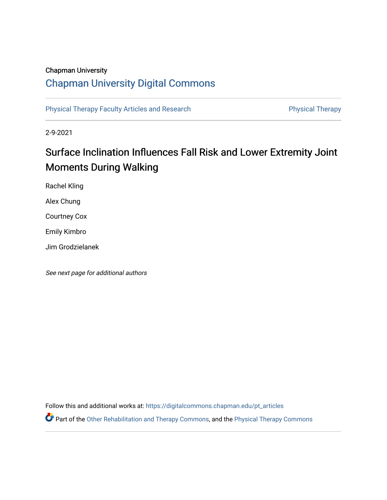## Chapman University

# [Chapman University Digital Commons](https://digitalcommons.chapman.edu/)

[Physical Therapy Faculty Articles and Research](https://digitalcommons.chapman.edu/pt_articles) **Physical Therapy** Physical Therapy

2-9-2021

# Surface Inclination Influences Fall Risk and Lower Extremity Joint Moments During Walking

Rachel Kling Alex Chung

Courtney Cox

Emily Kimbro

Jim Grodzielanek

See next page for additional authors

Follow this and additional works at: [https://digitalcommons.chapman.edu/pt\\_articles](https://digitalcommons.chapman.edu/pt_articles?utm_source=digitalcommons.chapman.edu%2Fpt_articles%2F147&utm_medium=PDF&utm_campaign=PDFCoverPages) 

Part of the [Other Rehabilitation and Therapy Commons,](http://network.bepress.com/hgg/discipline/758?utm_source=digitalcommons.chapman.edu%2Fpt_articles%2F147&utm_medium=PDF&utm_campaign=PDFCoverPages) and the [Physical Therapy Commons](http://network.bepress.com/hgg/discipline/754?utm_source=digitalcommons.chapman.edu%2Fpt_articles%2F147&utm_medium=PDF&utm_campaign=PDFCoverPages)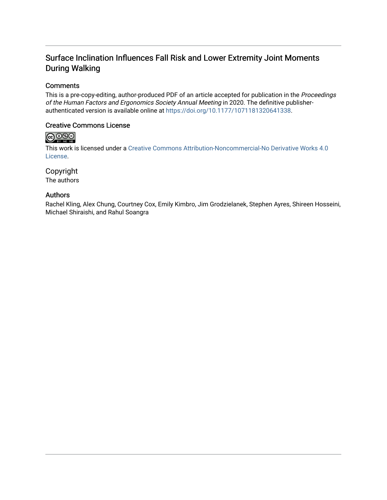## Surface Inclination Influences Fall Risk and Lower Extremity Joint Moments During Walking

## **Comments**

This is a pre-copy-editing, author-produced PDF of an article accepted for publication in the Proceedings of the Human Factors and Ergonomics Society Annual Meeting in 2020. The definitive publisherauthenticated version is available online at <https://doi.org/10.1177/1071181320641338>.

### Creative Commons License

## $\bigcirc$   $\bigcirc$   $\bigcirc$

This work is licensed under a [Creative Commons Attribution-Noncommercial-No Derivative Works 4.0](https://creativecommons.org/licenses/by-nc-nd/4.0/) [License](https://creativecommons.org/licenses/by-nc-nd/4.0/).

## Copyright

The authors

### Authors

Rachel Kling, Alex Chung, Courtney Cox, Emily Kimbro, Jim Grodzielanek, Stephen Ayres, Shireen Hosseini, Michael Shiraishi, and Rahul Soangra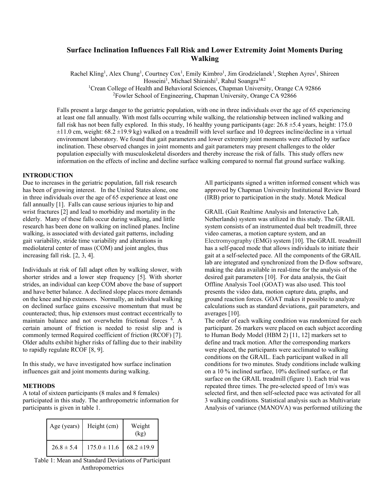## **Surface Inclination Influences Fall Risk and Lower Extremity Joint Moments During Walking**

Rachel Kling<sup>1</sup>, Alex Chung<sup>1</sup>, Courtney Cox<sup>1</sup>, Emily Kimbro<sup>1</sup>, Jim Grodzielanek<sup>1</sup>, Stephen Ayres<sup>1</sup>, Shireen Hosseini<sup>1</sup>, Michael Shiraishi<sup>1</sup>, Rahul Soangra<sup>1&2</sup>

<sup>1</sup>Crean College of Health and Behavioral Sciences, Chapman University, Orange CA 92866

<sup>2</sup>Fowler School of Engineering, Chapman University, Orange CA 92866

Falls present a large danger to the geriatric population, with one in three individuals over the age of 65 experiencing at least one fall annually. With most falls occurring while walking, the relationship between inclined walking and fall risk has not been fully explored. In this study, 16 healthy young participants (age:  $26.8 \pm 5.4$  years, height: 175.0  $\pm 11.0$  cm, weight: 68.2  $\pm 19.9$  kg) walked on a treadmill with level surface and 10 degrees incline/decline in a virtual environment laboratory. We found that gait parameters and lower extremity joint moments were affected by surface inclination. These observed changes in joint moments and gait parameters may present challenges to the older population especially with musculoskeletal disorders and thereby increase the risk of falls. This study offers new information on the effects of incline and decline surface walking compared to normal flat ground surface walking.

#### **INTRODUCTION**

Due to increases in the geriatric population, fall risk research has been of growing interest. In the United States alone, one in three individuals over the age of 65 experience at least one fall annually [1]. Falls can cause serious injuries to hip and wrist fractures [2] and lead to morbidity and mortality in the elderly. Many of these falls occur during walking, and little research has been done on walking on inclined planes. Incline walking, is associated with deviated gait patterns, including gait variability, stride time variability and alterations in mediolateral center of mass (COM) and joint angles, thus increasing fall risk. [2, 3, 4].

Individuals at risk of fall adapt often by walking slower, with shorter strides and a lower step frequency [5]. With shorter strides, an individual can keep COM above the base of support and have better balance. A declined slope places more demands on the knee and hip extensors. Normally, an individual walking on declined surface gains excessive momentum that must be counteracted; thus, hip extensors must contract eccentrically to maintain balance and not overwhelm frictional forces 6 . A certain amount of friction is needed to resist slip and is commonly termed Required coefficient of friction (RCOF) [7]. Older adults exhibit higher risks of falling due to their inability to rapidly regulate RCOF [8, 9].

In this study, we have investigated how surface inclination influences gait and joint moments during walking.

#### **METHODS**

A total of sixteen participants (8 males and 8 females) participated in this study. The anthropometric information for participants is given in table 1.

| Age (years)    | Height (cm)      | Weight<br>(kg)  |
|----------------|------------------|-----------------|
| $26.8 \pm 5.4$ | $175.0 \pm 11.6$ | $68.2 \pm 19.9$ |

Table 1: Mean and Standard Deviations of Participant Anthropometrics

All participants signed a written informed consent which was approved by Chapman University Institutional Review Board (IRB) prior to participation in the study. Motek Medical

GRAIL (Gait Realtime Analysis and Interactive Lab, Netherlands) system was utilized in this study. The GRAIL system consists of an instrumented dual belt treadmill, three video cameras, a motion capture system, and an Electromyography (EMG) system [10]. The GRAIL treadmill has a self-paced mode that allows individuals to initiate their gait at a self-selected pace. All the components of the GRAIL lab are integrated and synchronized from the D-flow software, making the data available in real-time for the analysis of the desired gait parameters [10]. For data analysis, the Gait Offline Analysis Tool (GOAT) was also used. This tool presents the video data, motion capture data, graphs, and ground reaction forces. GOAT makes it possible to analyze calculations such as standard deviations, gait parameters, and averages [10].

The order of each walking condition was randomized for each participant. 26 markers were placed on each subject according to Human Body Model (HBM 2) [11, 12] markers set to define and track motion. After the corresponding markers were placed, the participants were acclimated to walking conditions on the GRAIL. Each participant walked in all conditions for two minutes. Study conditions include walking on a 10 % inclined surface, 10% declined surface, or flat surface on the GRAIL treadmill (figure 1). Each trial was repeated three times. The pre-selected speed of 1m/s was selected first, and then self-selected pace was activated for all 3 walking conditions. Statistical analysis such as Multivariate Analysis of variance (MANOVA) was performed utilizing the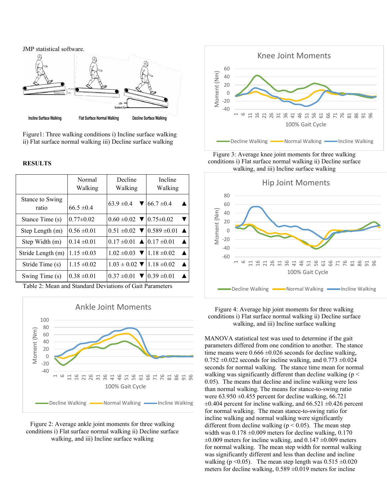

Figure1: Three walking conditions i) Incline surface walking ii) Flat surface normal walking iii) Decline surface walking

#### **RESULTS**

|                          | Normal<br>Walking | Decline<br>Walking                                     | Incline<br>Walking                                                      |
|--------------------------|-------------------|--------------------------------------------------------|-------------------------------------------------------------------------|
| Stance to Swing<br>ratio | $66.5 \pm 0.4$    | $63.9 \pm 0.4$                                         | $66.7 \pm 0.4$                                                          |
| Stance Time (s)          | $0.77 \pm 0.02$   | $0.60 \pm 0.02$ $\blacktriangledown$ 0.75 $\pm 0.02$   |                                                                         |
| Step Length (m)          | $0.56 \pm 0.01$   |                                                        | $0.51 \pm 0.02$ $\blacktriangledown$ 10.589 $\pm 0.01$ $\blacktriangle$ |
| Step Width (m)           | $0.14 \pm 0.01$   | $0.17 \pm 0.01$ $\triangle$ $ 0.17 \pm 0.01$           | $\blacktriangle$                                                        |
| Stride Length (m)        | $1.15 \pm 0.03$   | $1.02 \pm 0.03$ $\blacktriangledown$ 1.18 $\pm 0.02$   | ▲                                                                       |
| Stride Time (s)          | $1.15 \pm 0.02$   | $1.03 \pm 0.02$ $\blacktriangledown$   1.18 $\pm 0.02$ | $\blacktriangle$                                                        |
| Swing Time (s)           | $0.38 \pm 0.01$   | $0.37 \pm 0.01$ $\blacktriangledown$ 10.39 $\pm 0.01$  |                                                                         |

Table 2: Mean and Standard Deviations of Gait Parameters



Figure 2: Average ankle joint moments for three walking conditions i) Flat surface normal walking ii) Decline surface walking, and iii) Incline surface walking



Figure 3: Average knee joint moments for three walking conditions i) Flat surface normal walking ii) Decline surface walking, and iii) Incline surface walking



Figure 4: Average hip joint moments for three walking conditions i) Flat surface normal walking ii) Decline surface walking, and iii) Incline surface walking

MANOVA statistical test was used to determine if the gait parameters differed from one condition to another. The stance time means were  $0.666 \pm 0.026$  seconds for decline walking,  $0.752 \pm 0.022$  seconds for incline walking, and  $0.773 \pm 0.024$ seconds for normal walking. The stance time mean for normal walking was significantly different than decline walking ( $p <$ 0.05). The means that decline and incline walking were less than normal walking. The means for stance-to-swing ratio were  $63.950 \pm 0.455$  percent for decline walking,  $66.721$  $\pm 0.404$  percent for incline walking, and 66.521  $\pm 0.426$  percent for normal walking. The mean stance-to-swing ratio for incline walking and normal walking were significantly different from decline walking ( $p < 0.05$ ). The mean step width was  $0.178 \pm 0.009$  meters for decline walking,  $0.170$  $\pm 0.009$  meters for incline walking, and  $0.147 \pm 0.009$  meters for normal walking. The mean step width for normal walking was significantly different and less than decline and incline walking (p < 0.05). The mean step length was  $0.515 \pm 0.020$ meters for decline walking,  $0.589 \pm 0.019$  meters for incline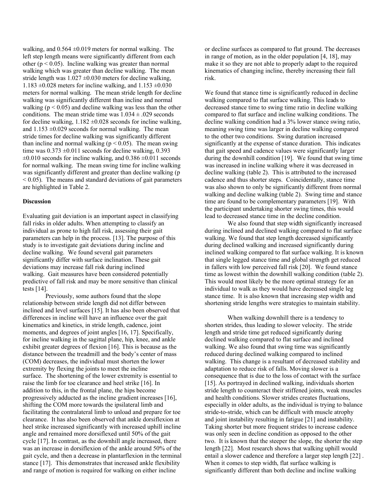walking, and  $0.564 \pm 0.019$  meters for normal walking. The left step length means were significantly different from each other ( $p < 0.05$ ). Incline walking was greater than normal walking which was greater than decline walking. The mean stride length was  $1.027 \pm 0.030$  meters for decline walking, 1.183  $\pm 0.028$  meters for incline walking, and 1.153  $\pm 0.030$ meters for normal walking. The mean stride length for decline walking was significantly different than incline and normal walking ( $p < 0.05$ ) and decline walking was less than the other conditions. The mean stride time was  $1.034 \pm .029$  seconds for decline walking,  $1.182 \pm 0.028$  seconds for incline walking, and  $1.153 \pm 0.029$  seconds for normal walking. The mean stride times for decline walking was significantly different than incline and normal walking ( $p < 0.05$ ). The mean swing time was  $0.373 \pm 0.011$  seconds for decline walking, 0.393  $\pm 0.010$  seconds for incline walking, and  $0.386 \pm 0.011$  seconds for normal walking. The mean swing time for incline walking was significantly different and greater than decline walking (p  $\leq$  0.05). The means and standard deviations of gait parameters are highlighted in Table 2.

#### **Discussion**

Evaluating gait deviation is an important aspect in classifying fall risks in older adults. When attempting to classify an individual as prone to high fall risk, assessing their gait parameters can help in the process. [13]. The purpose of this study is to investigate gait deviations during incline and decline walking. We found several gait parameters significantly differ with surface inclination. These gait deviations may increase fall risk during inclined walking. Gait measures have been considered potentially predictive of fall risk and may be more sensitive than clinical tests [14].

Previously, some authors found that the slope relationship between stride length did not differ between inclined and level surfaces [15]. It has also been observed that differences in incline will have an influence over the gait kinematics and kinetics, in stride length, cadence, joint moments, and degrees of joint angles [16, 17]. Specifically, for incline walking in the sagittal plane, hip, knee, and ankle exhibit greater degrees of flexion [16]. This is because as the distance between the treadmill and the body's center of mass (COM) decreases, the individual must shorten the lower extremity by flexing the joints to meet the incline surface. The shortening of the lower extremity is essential to raise the limb for toe clearance and heel strike [16]. In addition to this, in the frontal plane, the hips become progressively adducted as the incline gradient increases [16], shifting the COM more towards the ipsilateral limb and facilitating the contralateral limb to unload and prepare for toe clearance. It has also been observed that ankle dorsiflexion at heel strike increased significantly with increased uphill incline angle and remained more dorsiflexed until 50% of the gait cycle [17]. In contrast, as the downhill angle increased, there was an increase in dorsiflexion of the ankle around 50% of the gait cycle, and then a decrease in plantarflexion in the terminal stance [17]. This demonstrates that increased ankle flexibility and range of motion is required for walking on either incline

or decline surfaces as compared to flat ground. The decreases in range of motion, as in the older population [4, 18], may make it so they are not able to properly adapt to the required kinematics of changing incline, thereby increasing their fall risk.

We found that stance time is significantly reduced in decline walking compared to flat surface walking. This leads to decreased stance time to swing time ratio in decline walking compared to flat surface and incline walking conditions. The decline walking condition had a 3% lower stance swing ratio, meaning swing time was larger in decline walking compared to the other two conditions. Swing duration increased significantly at the expense of stance duration. This indicates that gait speed and cadence values were significantly larger during the downhill condition [19]. We found that swing time was increased in incline walking where it was decreased in decline walking (table 2). This is attributed to the increased cadence and thus shorter steps. Coincidentally, stance time was also shown to only be significantly different from normal walking and decline walking (table 2). Swing time and stance time are found to be complementary parameters [19]. With the participant undertaking shorter swing times, this would lead to decreased stance time in the decline condition.

We also found that step width significantly increased during inclined and declined walking compared to flat surface walking. We found that step length decreased significantly during declined walking and increased significantly during inclined walking compared to flat surface walking. It is known that single legged stance time and global strength get reduced in fallers with low perceived fall risk [20]. We found stance time as lowest within the downhill walking condition (table 2). This would most likely be the more optimal strategy for an individual to walk as they would have decreased single leg stance time. It is also known that increasing step width and shortening stride lengths were strategies to maintain stability.

When walking downhill there is a tendency to shorten strides, thus leading to slower velocity. The stride length and stride time get reduced significantly during declined walking compared to flat surface and inclined walking. We also found that swing time was significantly reduced during declined walking compared to inclined walking. This change is a resultant of decreased stability and adaptation to reduce risk of falls. Moving slower is a consequence that is due to the loss of contact with the surface [15]. As portrayed in declined walking, individuals shorten stride length to counteract their stiffened joints, weak muscles and health conditions. Slower strides creates fluctuations, especially in older adults, as the individual is trying to balance stride-to-stride, which can be difficult with muscle atrophy and joint instability resulting in fatigue [21] and instability. Taking shorter but more frequent strides to increase cadence was only seen in decline condition as opposed to the other two. It is known that the steeper the slope, the shorter the step length [22]. Most research shows that walking uphill would entail a slower cadence and therefore a larger step length [22] . When it comes to step width, flat surface walking is significantly different than both decline and incline walking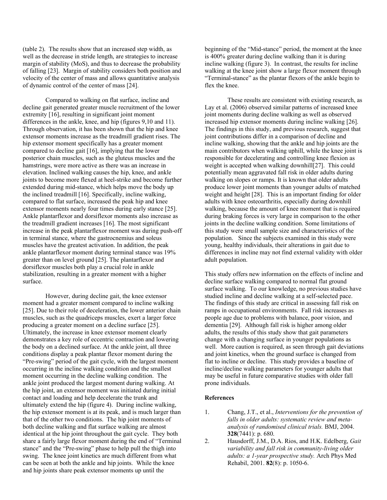(table 2). The results show that an increased step width, as well as the decrease in stride length, are strategies to increase margin of stability (MoS), and thus to decrease the probability of falling [23]. Margin of stability considers both position and velocity of the center of mass and allows quantitative analysis of dynamic control of the center of mass [24].

Compared to walking on flat surface, incline and decline gait generated greater muscle recruitment of the lower extremity [16], resulting in significant joint moment differences in the ankle, knee, and hip (figures 9,10 and 11). Through observation, it has been shown that the hip and knee extensor moments increase as the treadmill gradient rises. The hip extensor moment specifically has a greater moment compared to decline gait [16], implying that the lower posterior chain muscles, such as the gluteus muscles and the hamstrings, were more active as there was an increase in elevation. Inclined walking causes the hip, knee, and ankle joints to become more flexed at heel-strike and become further extended during mid-stance, which helps move the body up the inclined treadmill [16]. Specifically, incline walking, compared to flat surface, increased the peak hip and knee extensor moments nearly four times during early stance [25]. Ankle plantarflexor and dorsiflexor moments also increase as the treadmill gradient increases [16]. The most significant increase in the peak plantarflexor moment was during push-off in terminal stance, where the gastrocnemius and soleus muscles have the greatest activation. In addition, the peak ankle plantarflexor moment during terminal stance was 19% greater than on level ground [25]. The plantarflexor and dorsiflexor muscles both play a crucial role in ankle stabilization, resulting in a greater moment with a higher surface.

However, during decline gait, the knee extensor moment had a greater moment compared to incline walking [25]. Due to their role of deceleration, the lower anterior chain muscles, such as the quadriceps muscles, exert a larger force producing a greater moment on a decline surface [25]. Ultimately, the increase in knee extensor moment clearly demonstrates a key role of eccentric contraction and lowering the body on a declined surface. At the ankle joint, all three conditions display a peak plantar flexor moment during the "Pre-swing" period of the gait cycle, with the largest moment occurring in the incline walking condition and the smallest moment occurring in the decline walking condition. The ankle joint produced the largest moment during walking. At the hip joint, an extensor moment was initiated during initial contact and loading and help decelerate the trunk and ultimately extend the hip (figure 4). During incline walking, the hip extensor moment is at its peak, and is much larger than that of the other two conditions. The hip joint moments of both decline walking and flat surface walking are almost identical at the hip joint throughout the gait cycle. They both share a fairly large flexor moment during the end of "Terminal stance" and the "Pre-swing" phase to help pull the thigh into swing. The knee joint kinetics are much different from what can be seen at both the ankle and hip joints. While the knee and hip joints share peak extensor moments up until the

beginning of the "Mid-stance" period, the moment at the knee is 400% greater during decline walking than it is during incline walking (figure 3). In contrast, the results for incline walking at the knee joint show a large flexor moment through "Terminal-stance" as the plantar flexors of the ankle begin to flex the knee.

These results are consistent with existing research, as Lay et al. (2006) observed similar patterns of increased knee joint moments during decline walking as well as observed increased hip extensor moments during incline walking [26]. The findings in this study, and previous research, suggest that joint contributions differ in a comparison of decline and incline walking, showing that the ankle and hip joints are the main contributors when walking uphill, while the knee joint is responsible for decelerating and controlling knee flexion as weight is accepted when walking downhill[27]. This could potentially mean aggravated fall risk in older adults during walking on slopes or ramps. It is known that older adults produce lower joint moments than younger adults of matched weight and height [28]. This is an important finding for older adults with knee osteoarthritis, especially during downhill walking, because the amount of knee moment that is required during braking forces is very large in comparison to the other joints in the decline walking condition. Some limitations of this study were small sample size and characteristics of the population. Since the subjects examined in this study were young, healthy individuals, their alterations in gait due to differences in incline may not find external validity with older adult population.

This study offers new information on the effects of incline and decline surface walking compared to normal flat ground surface walking. To our knowledge, no previous studies have studied incline and decline walking at a self-selected pace. The findings of this study are critical in assessing fall risk on ramps in occupational environments. Fall risk increases as people age due to problems with balance, poor vision, and dementia [29]. Although fall risk is higher among older adults, the results of this study show that gait parameters change with a changing surface in younger populations as well. More caution is required, as seen through gait deviations and joint kinetics, when the ground surface is changed from flat to incline or decline. This study provides a baseline of incline/decline walking parameters for younger adults that may be useful in future comparative studies with older fall prone individuals.

#### **References**

- 1. Chang, J.T., et al., *Interventions for the prevention of falls in older adults: systematic review and metaanalysis of randomised clinical trials.* BMJ, 2004. **328**(7441): p. 680.
- 2. Hausdorff, J.M., D.A. Rios, and H.K. Edelberg, *Gait variability and fall risk in community-living older adults: a 1-year prospective study.* Arch Phys Med Rehabil, 2001. **82**(8): p. 1050-6.